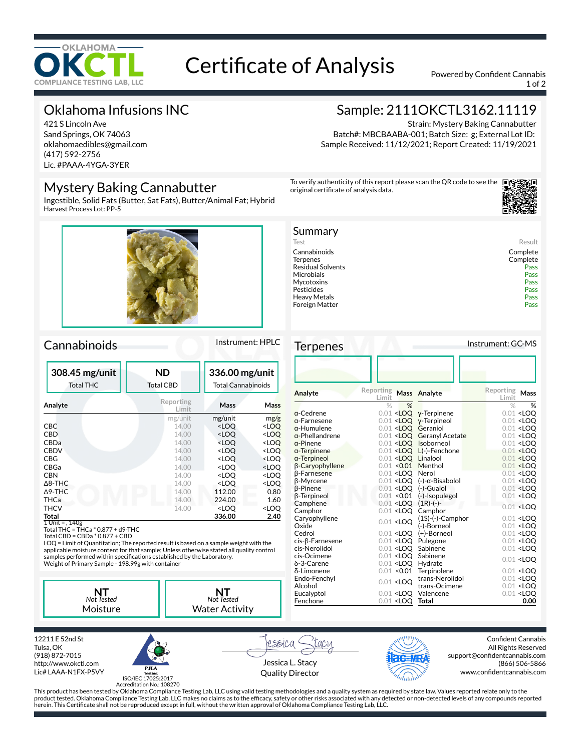

# Certificate of Analysis Powered by Confident Cannabis

1 of 2

## Oklahoma Infusions INC

421 S Lincoln Ave Sand Springs, OK 74063 oklahomaedibles@gmail.com (417) 592-2756 Lic. #PAAA-4YGA-3YER

### Mystery Baking Cannabutter

Ingestible, Solid Fats (Butter, Sat Fats), Butter/Animal Fat; Hybrid Harvest Process Lot: PP-5



### Cannabinoids Instrument: HPLC

| 308.45 mg/unit<br><b>Total THC</b> | <b>ND</b><br><b>Total CBD</b> | 336.00 mg/unit<br><b>Total Cannabinoids</b>     |                     |
|------------------------------------|-------------------------------|-------------------------------------------------|---------------------|
| Analyte                            | Reporting<br>Limit            | Mass                                            | Mass                |
|                                    | mg/unit                       | mg/unit                                         | mg/g                |
| <b>CBC</b>                         | 14.00                         | <loo< td=""><td><loq< td=""></loq<></td></loo<> | <loq< td=""></loq<> |
| CBD                                | 14.00                         | <loo< td=""><td><loq< td=""></loq<></td></loo<> | <loq< td=""></loq<> |
| CBDa                               | 14.00                         | <loo< td=""><td><loo< td=""></loo<></td></loo<> | <loo< td=""></loo<> |
| <b>CBDV</b>                        | 14.00                         | <loo< td=""><td><loo< td=""></loo<></td></loo<> | <loo< td=""></loo<> |
| CBG                                | 14.00                         | <loo< td=""><td><loq< td=""></loq<></td></loo<> | <loq< td=""></loq<> |
| CBGa                               | 14.00                         | <loo< td=""><td><loq< td=""></loq<></td></loo<> | <loq< td=""></loq<> |
| <b>CBN</b>                         | 14.00                         | <loo< td=""><td><loq< td=""></loq<></td></loo<> | <loq< td=""></loq<> |
| $\triangle$ 8-THC                  | 14.00                         | <loo< td=""><td><loo< td=""></loo<></td></loo<> | <loo< td=""></loo<> |
| $\Delta$ 9-THC                     | 14.00                         | 112.00                                          | 0.80                |
| THCa                               | 14.00                         | 224.00                                          | 1.60                |
| THCV                               | 14.00                         | <loq< td=""><td><loq< td=""></loq<></td></loq<> | <loq< td=""></loq<> |
| Total                              |                               | 336.00                                          | 2.40                |
| 1 Unit = , 140g                    |                               |                                                 |                     |

1 Unit = , 140g Total THC = THCa \* 0.877 + d9-THC Total CBD = CBDa \* 0.877 + CBD

LOQ = Limit of Quantitation; The reported result is based on a sample weight with the applicable moisture content for that sample; Unless otherwise stated all quality control samples performed within specifications established by the Laboratory.<br>Weight of Primary Sample - 198.99g with container



12211 E 52nd St Tulsa, OK (918) 872-7015 http://www.okctl.com Lic# LAAA-N1FX-P5VY



rssica COCU Jessica L. Stacy Quality Director



Confident Cannabis All Rights Reserved support@confidentcannabis.com (866) 506-5866 www.confidentcannabis.com

ISO/IEC 17025:2017 Accreditation No.: 108270

This product has been tested by Oklahoma Compliance Testing Lab, LLC using valid testing methodologies and a quality system as required by state law. Values reported relate only to the product tested. Oklahoma Compliance Testing Lab, LLC makes no claims as to the efcacy, safety or other risks associated with any detected or non-detected levels of any compounds reported herein. This Certificate shall not be reproduced except in full, without the written approval of Oklahoma Compliance Testing Lab, LLC.

# Sample: 2111OKCTL3162.11119

Strain: Mystery Baking Cannabutter Batch#: MBCBAABA-001; Batch Size: g; External Lot ID: Sample Received: 11/12/2021; Report Created: 11/19/2021

To verify authenticity of this report please scan the QR code to see the original certificate of analysis data.



| Summary                  |          |
|--------------------------|----------|
| Test                     | Result   |
| Cannabinoids             | Complete |
| <b>Terpenes</b>          | Complete |
| <b>Residual Solvents</b> | Pass     |
| Microbials               | Pass     |
| Mycotoxins               | Pass     |
| Pesticides               | Pass     |
| Heavy Metals             | Pass     |
| Foreign Matter           | Pass     |
|                          |          |

Terpenes Instrument: GC-MS

| Reporting<br>Reporting<br>Mass Analyte<br>Mass<br>Analyte<br>Limit<br>Limit<br>%<br>%<br>$\%$<br>$\%$<br>$0.01$ <loo<br><math>\alpha</math>-Cedrene<br/>y-Terpinene<br/><math>0.01 &lt;</math>LOO<br/>y-Terpineol<br/><math>0.01 &lt;</math>LOO<br/><math>\alpha</math>-Farnesene<br/><math>0.01 &lt;</math>LOO<br/>Geraniol<br/><math>\alpha</math>-Humulene<br/><math>0.01</math> <loo<br><math>0.01 &lt;</math>LOO<br/><math>\alpha</math>-Phellandrene<br/>0.01 <loq acetate<br="" geranyl=""><math>0.01 &lt;</math>LOO<br/>0.01 <loq isoborneol<br=""><math>\alpha</math>-Pinene<br/><math>0.01 &lt;</math>LOO<br/><math>\alpha</math>-Terpinene<br/>0.01 <loq l(-)-fenchone<br=""><math>0.01</math> <loo<br>0.01 <loo linalool<br=""><math>0.01</math> <loq<br><math>\alpha</math>-Terpineol<br/>β-Caryophyllene<br/><math>0.01</math> &lt;0.01<br/>Menthol<br/><math>0.01</math> <loq<br><math>0.01</math> <loq<br><math>0.01 &lt;</math>LOO<br/><b>B-Farnesene</b><br/>Nerol</loq<br></loq<br></loq<br></loo></loo<br></loq></loq></loq></loo<br></loo<br> |
|--------------------------------------------------------------------------------------------------------------------------------------------------------------------------------------------------------------------------------------------------------------------------------------------------------------------------------------------------------------------------------------------------------------------------------------------------------------------------------------------------------------------------------------------------------------------------------------------------------------------------------------------------------------------------------------------------------------------------------------------------------------------------------------------------------------------------------------------------------------------------------------------------------------------------------------------------------------------------------------------------------------------------------------------------------------------|
|                                                                                                                                                                                                                                                                                                                                                                                                                                                                                                                                                                                                                                                                                                                                                                                                                                                                                                                                                                                                                                                                    |
|                                                                                                                                                                                                                                                                                                                                                                                                                                                                                                                                                                                                                                                                                                                                                                                                                                                                                                                                                                                                                                                                    |
|                                                                                                                                                                                                                                                                                                                                                                                                                                                                                                                                                                                                                                                                                                                                                                                                                                                                                                                                                                                                                                                                    |
|                                                                                                                                                                                                                                                                                                                                                                                                                                                                                                                                                                                                                                                                                                                                                                                                                                                                                                                                                                                                                                                                    |
|                                                                                                                                                                                                                                                                                                                                                                                                                                                                                                                                                                                                                                                                                                                                                                                                                                                                                                                                                                                                                                                                    |
|                                                                                                                                                                                                                                                                                                                                                                                                                                                                                                                                                                                                                                                                                                                                                                                                                                                                                                                                                                                                                                                                    |
|                                                                                                                                                                                                                                                                                                                                                                                                                                                                                                                                                                                                                                                                                                                                                                                                                                                                                                                                                                                                                                                                    |
|                                                                                                                                                                                                                                                                                                                                                                                                                                                                                                                                                                                                                                                                                                                                                                                                                                                                                                                                                                                                                                                                    |
|                                                                                                                                                                                                                                                                                                                                                                                                                                                                                                                                                                                                                                                                                                                                                                                                                                                                                                                                                                                                                                                                    |
|                                                                                                                                                                                                                                                                                                                                                                                                                                                                                                                                                                                                                                                                                                                                                                                                                                                                                                                                                                                                                                                                    |
|                                                                                                                                                                                                                                                                                                                                                                                                                                                                                                                                                                                                                                                                                                                                                                                                                                                                                                                                                                                                                                                                    |
| β-Myrcene<br>$0.01$ <loq (-)-<math="">\alpha-Bisabolol<br/><math>0.01</math> <loq< td=""></loq<></loq>                                                                                                                                                                                                                                                                                                                                                                                                                                                                                                                                                                                                                                                                                                                                                                                                                                                                                                                                                             |
| $0.01$ <loo<br>(-)-Guaiol<br/><math>0.01</math> <loo<br><b>B-Pinene</b></loo<br></loo<br>                                                                                                                                                                                                                                                                                                                                                                                                                                                                                                                                                                                                                                                                                                                                                                                                                                                                                                                                                                          |
| β-Terpineol<br>$0.01$ <0.01<br>(-)-Isopulegol<br>$0.01 <$ LOO                                                                                                                                                                                                                                                                                                                                                                                                                                                                                                                                                                                                                                                                                                                                                                                                                                                                                                                                                                                                      |
| $(1R)$ - $(-)$ -<br>Camphene<br>$0.01$ <loo<br><math>0.01 &lt;</math>LOO</loo<br>                                                                                                                                                                                                                                                                                                                                                                                                                                                                                                                                                                                                                                                                                                                                                                                                                                                                                                                                                                                  |
| Camphor<br>$0.01$ <loo<br>Camphor</loo<br>                                                                                                                                                                                                                                                                                                                                                                                                                                                                                                                                                                                                                                                                                                                                                                                                                                                                                                                                                                                                                         |
| Caryophyllene<br>$(1S)-(-)$ -Camphor<br>$0.01 <$ LOO<br>$0.01$ <loq< td=""></loq<>                                                                                                                                                                                                                                                                                                                                                                                                                                                                                                                                                                                                                                                                                                                                                                                                                                                                                                                                                                                 |
| Oxide<br>(-)-Borneol<br>$0.01 <$ LOO                                                                                                                                                                                                                                                                                                                                                                                                                                                                                                                                                                                                                                                                                                                                                                                                                                                                                                                                                                                                                               |
| (+)-Borneol<br>Cedrol<br>$0.01 <$ LOO<br>$0.01 <$ LOO                                                                                                                                                                                                                                                                                                                                                                                                                                                                                                                                                                                                                                                                                                                                                                                                                                                                                                                                                                                                              |
| $cis$ - $\beta$ -Farnesene<br>$0.01$ <loo<br>Pulegone<br/><math>0.01</math> <loq< td=""></loq<></loo<br>                                                                                                                                                                                                                                                                                                                                                                                                                                                                                                                                                                                                                                                                                                                                                                                                                                                                                                                                                           |
| cis-Nerolidol<br>$0.01 <$ LOO<br>Sabinene<br>$0.01 <$ LOO                                                                                                                                                                                                                                                                                                                                                                                                                                                                                                                                                                                                                                                                                                                                                                                                                                                                                                                                                                                                          |
| Sabinene<br>cis-Ocimene<br>$0.01 <$ LOO<br>$0.01 <$ LOO                                                                                                                                                                                                                                                                                                                                                                                                                                                                                                                                                                                                                                                                                                                                                                                                                                                                                                                                                                                                            |
| δ-3-Carene<br>$0.01$ <loo<br>Hydrate</loo<br>                                                                                                                                                                                                                                                                                                                                                                                                                                                                                                                                                                                                                                                                                                                                                                                                                                                                                                                                                                                                                      |
| $0.01$ <0.01<br>Terpinolene<br>δ-Limonene<br>$0.01 <$ LOO                                                                                                                                                                                                                                                                                                                                                                                                                                                                                                                                                                                                                                                                                                                                                                                                                                                                                                                                                                                                          |
| trans-Nerolidol<br>Endo-Fenchyl<br>$0.01 <$ LOO<br>$0.01$ <loq< td=""></loq<>                                                                                                                                                                                                                                                                                                                                                                                                                                                                                                                                                                                                                                                                                                                                                                                                                                                                                                                                                                                      |
| trans-Ocimene<br>Alcohol<br>$0.01$ <loq< td=""></loq<>                                                                                                                                                                                                                                                                                                                                                                                                                                                                                                                                                                                                                                                                                                                                                                                                                                                                                                                                                                                                             |
| $0.01$ <loq<br>Eucalyptol<br/><math>0.01</math> <loo<br>Valencene</loo<br></loq<br>                                                                                                                                                                                                                                                                                                                                                                                                                                                                                                                                                                                                                                                                                                                                                                                                                                                                                                                                                                                |
| $0.01$ <loq<br>0.00<br/>Fenchone<br/>Total</loq<br>                                                                                                                                                                                                                                                                                                                                                                                                                                                                                                                                                                                                                                                                                                                                                                                                                                                                                                                                                                                                                |